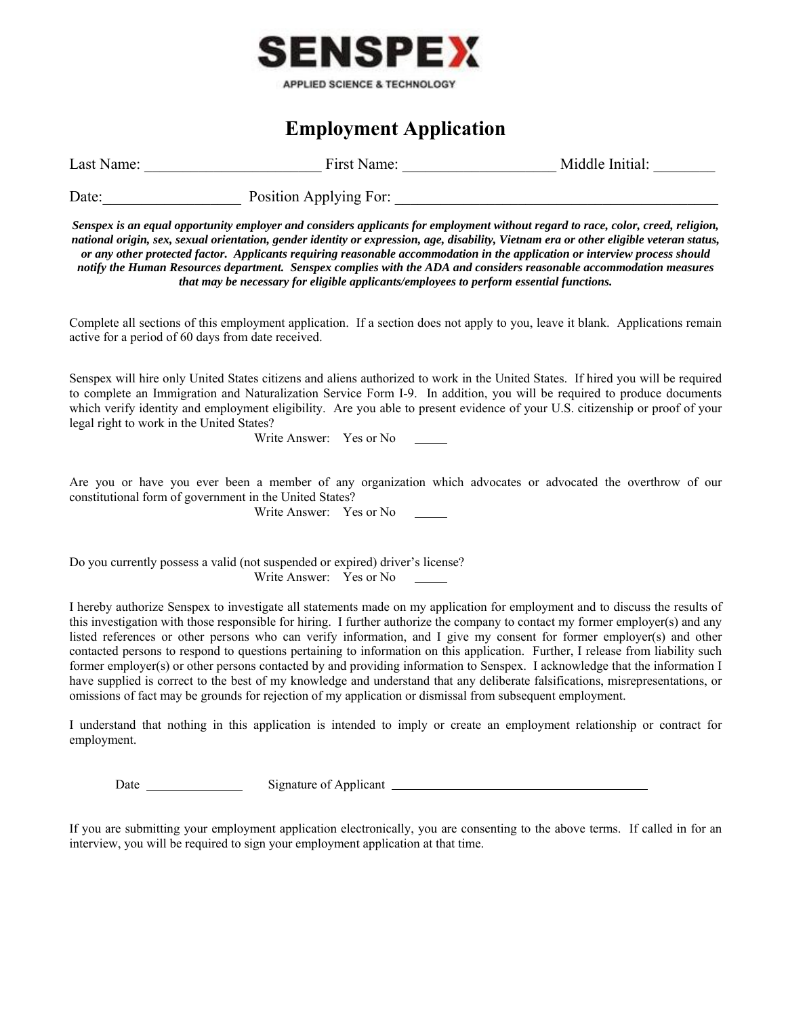

## **Employment Application**

| Last Name: | . Namer<br>H1rct | Initial<br>Middle - |  |  |
|------------|------------------|---------------------|--|--|
|            |                  |                     |  |  |

Date: Position Applying For:

*Senspex is an equal opportunity employer and considers applicants for employment without regard to race, color, creed, religion, national origin, sex, sexual orientation, gender identity or expression, age, disability, Vietnam era or other eligible veteran status, or any other protected factor. Applicants requiring reasonable accommodation in the application or interview process should notify the Human Resources department. Senspex complies with the ADA and considers reasonable accommodation measures that may be necessary for eligible applicants/employees to perform essential functions.* 

Complete all sections of this employment application. If a section does not apply to you, leave it blank. Applications remain active for a period of 60 days from date received.

Senspex will hire only United States citizens and aliens authorized to work in the United States. If hired you will be required to complete an Immigration and Naturalization Service Form I-9. In addition, you will be required to produce documents which verify identity and employment eligibility. Are you able to present evidence of your U.S. citizenship or proof of your legal right to work in the United States?

Write Answer: Yes or No 

Are you or have you ever been a member of any organization which advocates or advocated the overthrow of our constitutional form of government in the United States?

Write Answer: Yes or No 

Do you currently possess a valid (not suspended or expired) driver's license? Write Answer: Yes or No 

I hereby authorize Senspex to investigate all statements made on my application for employment and to discuss the results of this investigation with those responsible for hiring. I further authorize the company to contact my former employer(s) and any listed references or other persons who can verify information, and I give my consent for former employer(s) and other contacted persons to respond to questions pertaining to information on this application. Further, I release from liability such former employer(s) or other persons contacted by and providing information to Senspex. I acknowledge that the information I have supplied is correct to the best of my knowledge and understand that any deliberate falsifications, misrepresentations, or omissions of fact may be grounds for rejection of my application or dismissal from subsequent employment.

I understand that nothing in this application is intended to imply or create an employment relationship or contract for employment.

Date Signature of Applicant 

If you are submitting your employment application electronically, you are consenting to the above terms. If called in for an interview, you will be required to sign your employment application at that time.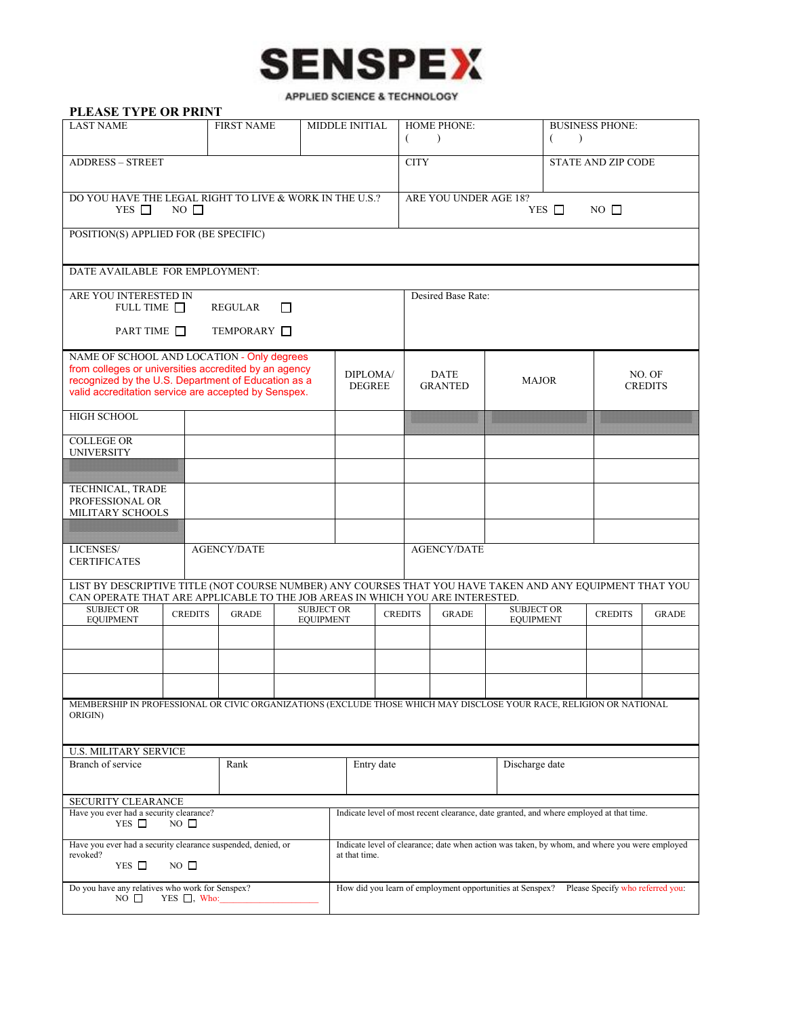

APPLIED SCIENCE & TECHNOLOGY

| PLEASE TYPE OR PRINT                                                                                                                                                                      |                                |                           |                                                                                                                |                               |                                                             |                        |                          |                           |              |
|-------------------------------------------------------------------------------------------------------------------------------------------------------------------------------------------|--------------------------------|---------------------------|----------------------------------------------------------------------------------------------------------------|-------------------------------|-------------------------------------------------------------|------------------------|--------------------------|---------------------------|--------------|
| <b>LAST NAME</b>                                                                                                                                                                          | <b>FIRST NAME</b>              |                           | <b>MIDDLE INITIAL</b>                                                                                          | <b>HOME PHONE:</b>            |                                                             | <b>BUSINESS PHONE:</b> |                          |                           |              |
|                                                                                                                                                                                           |                                |                           |                                                                                                                |                               | €<br>$\lambda$                                              |                        | €<br>$\rightarrow$       |                           |              |
| <b>ADDRESS - STREET</b>                                                                                                                                                                   |                                |                           |                                                                                                                |                               | <b>CITY</b>                                                 |                        |                          | <b>STATE AND ZIP CODE</b> |              |
| DO YOU HAVE THE LEGAL RIGHT TO LIVE & WORK IN THE U.S.?<br>YES $\Box$<br>$NO \square$                                                                                                     |                                |                           |                                                                                                                |                               | ARE YOU UNDER AGE 18?<br>YES $\Box$<br>$NO \nightharpoonup$ |                        |                          |                           |              |
| POSITION(S) APPLIED FOR (BE SPECIFIC)                                                                                                                                                     |                                |                           |                                                                                                                |                               |                                                             |                        |                          |                           |              |
| DATE AVAILABLE FOR EMPLOYMENT:                                                                                                                                                            |                                |                           |                                                                                                                |                               |                                                             |                        |                          |                           |              |
| ARE YOU INTERESTED IN<br>FULL TIME $\Box$<br><b>REGULAR</b><br>П                                                                                                                          |                                |                           | Desired Base Rate:                                                                                             |                               |                                                             |                        |                          |                           |              |
| PART TIME                                                                                                                                                                                 | TEMPORARY <b>I</b>             |                           |                                                                                                                |                               |                                                             |                        |                          |                           |              |
| NAME OF SCHOOL AND LOCATION - Only degrees                                                                                                                                                |                                |                           |                                                                                                                |                               |                                                             |                        |                          |                           |              |
| from colleges or universities accredited by an agency<br>recognized by the U.S. Department of Education as a<br>valid accreditation service are accepted by Senspex.                      |                                | DIPLOMA/<br><b>DEGREE</b> |                                                                                                                | <b>DATE</b><br><b>GRANTED</b> | <b>MAJOR</b>                                                |                        | NO. OF<br><b>CREDITS</b> |                           |              |
| <b>HIGH SCHOOL</b>                                                                                                                                                                        |                                |                           |                                                                                                                |                               |                                                             |                        |                          |                           |              |
| <b>COLLEGE OR</b><br><b>UNIVERSITY</b>                                                                                                                                                    |                                |                           |                                                                                                                |                               |                                                             |                        |                          |                           |              |
|                                                                                                                                                                                           |                                |                           |                                                                                                                |                               |                                                             |                        |                          |                           |              |
| TECHNICAL, TRADE<br>PROFESSIONAL OR<br>MILITARY SCHOOLS                                                                                                                                   |                                |                           |                                                                                                                |                               |                                                             |                        |                          |                           |              |
|                                                                                                                                                                                           |                                |                           |                                                                                                                |                               |                                                             |                        |                          |                           |              |
| LICENSES/<br><b>CERTIFICATES</b>                                                                                                                                                          | <b>AGENCY/DATE</b>             |                           |                                                                                                                |                               | <b>AGENCY/DATE</b>                                          |                        |                          |                           |              |
| LIST BY DESCRIPTIVE TITLE (NOT COURSE NUMBER) ANY COURSES THAT YOU HAVE TAKEN AND ANY EQUIPMENT THAT YOU<br>CAN OPERATE THAT ARE APPLICABLE TO THE JOB AREAS IN WHICH YOU ARE INTERESTED. |                                |                           |                                                                                                                |                               |                                                             |                        |                          |                           |              |
| <b>SUBJECT OR</b>                                                                                                                                                                         | <b>CREDITS</b><br><b>GRADE</b> | <b>SUBJECT OR</b>         |                                                                                                                | <b>CREDITS</b>                | <b>GRADE</b>                                                | <b>SUBJECT OR</b>      |                          | <b>CREDITS</b>            | <b>GRADE</b> |
| <b>EQUIPMENT</b>                                                                                                                                                                          |                                | <b>EQUIPMENT</b>          |                                                                                                                |                               |                                                             | <b>EQUIPMENT</b>       |                          |                           |              |
|                                                                                                                                                                                           |                                |                           |                                                                                                                |                               |                                                             |                        |                          |                           |              |
|                                                                                                                                                                                           |                                |                           |                                                                                                                |                               |                                                             |                        |                          |                           |              |
| MEMBERSHIP IN PROFESSIONAL OR CIVIC ORGANIZATIONS (EXCLUDE THOSE WHICH MAY DISCLOSE YOUR RACE, RELIGION OR NATIONAL<br>ORIGIN)                                                            |                                |                           |                                                                                                                |                               |                                                             |                        |                          |                           |              |
| <b>U.S. MILITARY SERVICE</b>                                                                                                                                                              |                                |                           |                                                                                                                |                               |                                                             |                        |                          |                           |              |
| Branch of service                                                                                                                                                                         | Rank                           |                           | Entry date                                                                                                     |                               |                                                             | Discharge date         |                          |                           |              |
| SECURITY CLEARANCE                                                                                                                                                                        |                                |                           |                                                                                                                |                               |                                                             |                        |                          |                           |              |
| Have you ever had a security clearance?<br>YES $\Box$<br>$NO$ $\square$                                                                                                                   |                                |                           | Indicate level of most recent clearance, date granted, and where employed at that time.                        |                               |                                                             |                        |                          |                           |              |
| Have you ever had a security clearance suspended, denied, or<br>revoked?<br>YES $\Box$<br>$NO$ $\square$                                                                                  |                                |                           | Indicate level of clearance; date when action was taken, by whom, and where you were employed<br>at that time. |                               |                                                             |                        |                          |                           |              |
| Do you have any relatives who work for Senspex?<br>$NO$ $\square$<br>$YES \t{N}$ , Who:                                                                                                   |                                |                           | How did you learn of employment opportunities at Senspex? Please Specify who referred you:                     |                               |                                                             |                        |                          |                           |              |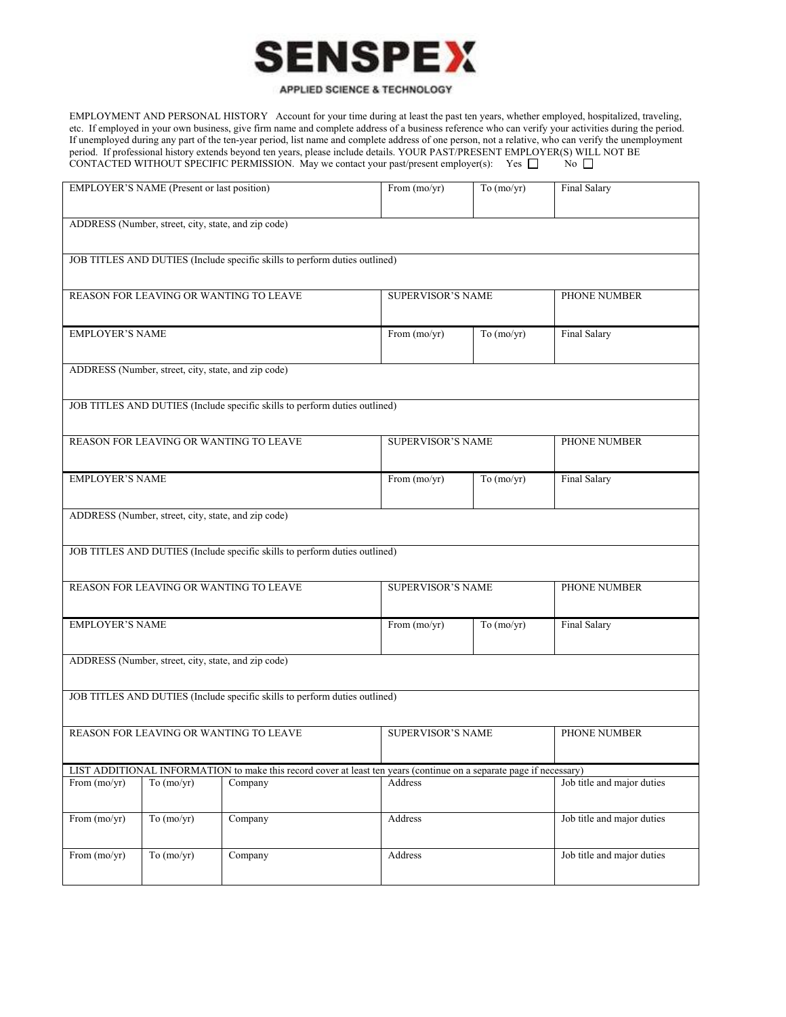

## APPLIED SCIENCE & TECHNOLOGY

EMPLOYMENT AND PERSONAL HISTORY Account for your time during at least the past ten years, whether employed, hospitalized, traveling, etc. If employed in your own business, give firm name and complete address of a business reference who can verify your activities during the period. If unemployed during any part of the ten-year period, list name and complete address of one person, not a relative, who can verify the unemployment period. If professional history extends beyond ten years, please include details. YOUR PAST/PRESENT EMPLOYER(S) WILL NOT BE CONTACTED WITHOUT SPECIFIC PERMISSION. May we contact your past/present employer(s): Yes  $\square$  No  $\square$ 

|                                                                                                                     | EMPLOYER'S NAME (Present or last position) |                                        | From (mo/yr)             | To (mo/yr)   | Final Salary               |  |  |
|---------------------------------------------------------------------------------------------------------------------|--------------------------------------------|----------------------------------------|--------------------------|--------------|----------------------------|--|--|
| ADDRESS (Number, street, city, state, and zip code)                                                                 |                                            |                                        |                          |              |                            |  |  |
| JOB TITLES AND DUTIES (Include specific skills to perform duties outlined)                                          |                                            |                                        |                          |              |                            |  |  |
|                                                                                                                     |                                            | REASON FOR LEAVING OR WANTING TO LEAVE | <b>SUPERVISOR'S NAME</b> |              | PHONE NUMBER               |  |  |
| <b>EMPLOYER'S NAME</b>                                                                                              |                                            |                                        | From (mo/yr)             | To (mo/yr)   | <b>Final Salary</b>        |  |  |
| ADDRESS (Number, street, city, state, and zip code)                                                                 |                                            |                                        |                          |              |                            |  |  |
| JOB TITLES AND DUTIES (Include specific skills to perform duties outlined)                                          |                                            |                                        |                          |              |                            |  |  |
| REASON FOR LEAVING OR WANTING TO LEAVE                                                                              |                                            | <b>SUPERVISOR'S NAME</b>               |                          | PHONE NUMBER |                            |  |  |
| <b>EMPLOYER'S NAME</b>                                                                                              |                                            |                                        | From (mo/yr)             | To $(mo/yr)$ | Final Salary               |  |  |
| ADDRESS (Number, street, city, state, and zip code)                                                                 |                                            |                                        |                          |              |                            |  |  |
| JOB TITLES AND DUTIES (Include specific skills to perform duties outlined)                                          |                                            |                                        |                          |              |                            |  |  |
| REASON FOR LEAVING OR WANTING TO LEAVE                                                                              |                                            |                                        | <b>SUPERVISOR'S NAME</b> |              | PHONE NUMBER               |  |  |
| <b>EMPLOYER'S NAME</b>                                                                                              |                                            |                                        | From (mo/yr)             | To (mo/yr)   | <b>Final Salary</b>        |  |  |
| ADDRESS (Number, street, city, state, and zip code)                                                                 |                                            |                                        |                          |              |                            |  |  |
| JOB TITLES AND DUTIES (Include specific skills to perform duties outlined)                                          |                                            |                                        |                          |              |                            |  |  |
| REASON FOR LEAVING OR WANTING TO LEAVE                                                                              |                                            |                                        | <b>SUPERVISOR'S NAME</b> |              | PHONE NUMBER               |  |  |
| LIST ADDITIONAL INFORMATION to make this record cover at least ten years (continue on a separate page if necessary) |                                            |                                        |                          |              |                            |  |  |
| From $(mo/yr)$                                                                                                      | To (mo/yr)                                 | Company                                | Address                  |              | Job title and major duties |  |  |
| From (mo/yr)                                                                                                        | To $(mo/yr)$                               | Company                                | Address                  |              | Job title and major duties |  |  |
| From (mo/yr)                                                                                                        | To $(mo/yr)$                               | Company                                | Address                  |              | Job title and major duties |  |  |